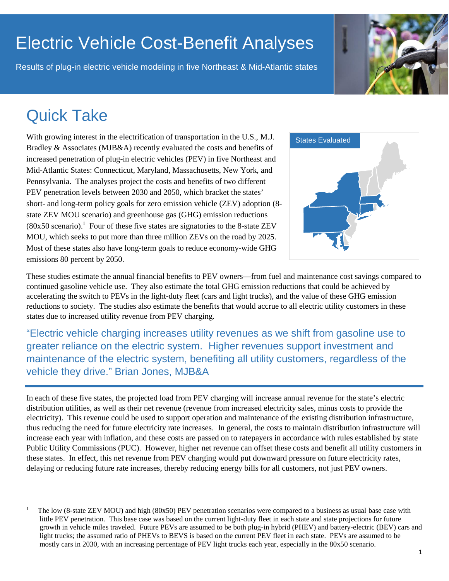# Electric Vehicle Cost-Benefit Analyses

Results of plug-in electric vehicle modeling in five Northeast & Mid-Atlantic states

# Quick Take

 $\overline{a}$ 

With growing interest in the electrification of transportation in the U.S., M.J. Bradley & Associates (MJB&A) recently evaluated the costs and benefits of increased penetration of plug-in electric vehicles (PEV) in five Northeast and Mid-Atlantic States: Connecticut, Maryland, Massachusetts, New York, and Pennsylvania. The analyses project the costs and benefits of two different PEV penetration levels between 2030 and 2050, which bracket the states' short- and long-term policy goals for zero emission vehicle (ZEV) adoption (8 state ZEV MOU scenario) and greenhouse gas (GHG) emission reductions  $(80x50$  scenario).<sup>1</sup> Four of these five states are signatories to the 8-state ZEV MOU, which seeks to put more than three million ZEVs on the road by 2025. Most of these states also have long-term goals to reduce economy-wide GHG emissions 80 percent by 2050.



These studies estimate the annual financial benefits to PEV owners—from fuel and maintenance cost savings compared to continued gasoline vehicle use. They also estimate the total GHG emission reductions that could be achieved by accelerating the switch to PEVs in the light-duty fleet (cars and light trucks), and the value of these GHG emission reductions to society. The studies also estimate the benefits that would accrue to all electric utility customers in these states due to increased utility revenue from PEV charging.

"Electric vehicle charging increases utility revenues as we shift from gasoline use to greater reliance on the electric system. Higher revenues support investment and maintenance of the electric system, benefiting all utility customers, regardless of the vehicle they drive." Brian Jones, MJB&A

In each of these five states, the projected load from PEV charging will increase annual revenue for the state's electric distribution utilities, as well as their net revenue (revenue from increased electricity sales, minus costs to provide the electricity). This revenue could be used to support operation and maintenance of the existing distribution infrastructure, thus reducing the need for future electricity rate increases. In general, the costs to maintain distribution infrastructure will increase each year with inflation, and these costs are passed on to ratepayers in accordance with rules established by state Public Utility Commissions (PUC). However, higher net revenue can offset these costs and benefit all utility customers in these states. In effect, this net revenue from PEV charging would put downward pressure on future electricity rates, delaying or reducing future rate increases, thereby reducing energy bills for all customers, not just PEV owners.

<sup>1</sup> The low (8-state ZEV MOU) and high (80x50) PEV penetration scenarios were compared to a business as usual base case with little PEV penetration. This base case was based on the current light-duty fleet in each state and state projections for future growth in vehicle miles traveled. Future PEVs are assumed to be both plug-in hybrid (PHEV) and battery-electric (BEV) cars and light trucks; the assumed ratio of PHEVs to BEVS is based on the current PEV fleet in each state. PEVs are assumed to be mostly cars in 2030, with an increasing percentage of PEV light trucks each year, especially in the 80x50 scenario.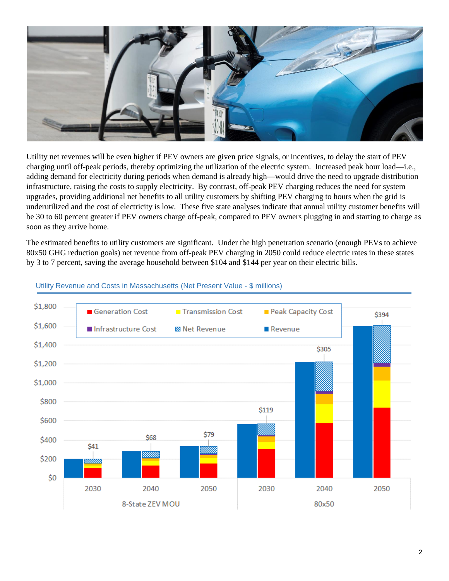

Utility net revenues will be even higher if PEV owners are given price signals, or incentives, to delay the start of PEV charging until off-peak periods, thereby optimizing the utilization of the electric system. Increased peak hour load—i.e., adding demand for electricity during periods when demand is already high—would drive the need to upgrade distribution infrastructure, raising the costs to supply electricity. By contrast, off-peak PEV charging reduces the need for system upgrades, providing additional net benefits to all utility customers by shifting PEV charging to hours when the grid is underutilized and the cost of electricity is low. These five state analyses indicate that annual utility customer benefits will be 30 to 60 percent greater if PEV owners charge off-peak, compared to PEV owners plugging in and starting to charge as soon as they arrive home.

The estimated benefits to utility customers are significant. Under the high penetration scenario (enough PEVs to achieve 80x50 GHG reduction goals) net revenue from off-peak PEV charging in 2050 could reduce electric rates in these states by 3 to 7 percent, saving the average household between \$104 and \$144 per year on their electric bills.



#### Utility Revenue and Costs in Massachusetts (Net Present Value - \$ millions)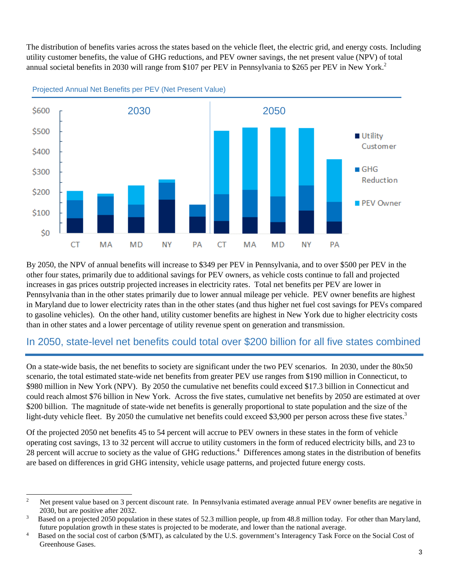The distribution of benefits varies across the states based on the vehicle fleet, the electric grid, and energy costs. Including utility customer benefits, the value of GHG reductions, and PEV owner savings, the net present value (NPV) of total annual societal benefits in 2030 will range from \$107 per PEV in Pennsylvania to \$265 per PEV in New York. 2

![](_page_2_Figure_1.jpeg)

#### Projected Annual Net Benefits per PEV (Net Present Value)

By 2050, the NPV of annual benefits will increase to \$349 per PEV in Pennsylvania, and to over \$500 per PEV in the other four states, primarily due to additional savings for PEV owners, as vehicle costs continue to fall and projected increases in gas prices outstrip projected increases in electricity rates. Total net benefits per PEV are lower in Pennsylvania than in the other states primarily due to lower annual mileage per vehicle. PEV owner benefits are highest in Maryland due to lower electricity rates than in the other states (and thus higher net fuel cost savings for PEVs compared to gasoline vehicles). On the other hand, utility customer benefits are highest in New York due to higher electricity costs than in other states and a lower percentage of utility revenue spent on generation and transmission.

### In 2050, state-level net benefits could total over \$200 billion for all five states combined

On a state-wide basis, the net benefits to society are significant under the two PEV scenarios. In 2030, under the 80x50 scenario, the total estimated state-wide net benefits from greater PEV use ranges from \$190 million in Connecticut, to \$980 million in New York (NPV). By 2050 the cumulative net benefits could exceed \$17.3 billion in Connecticut and could reach almost \$76 billion in New York. Across the five states, cumulative net benefits by 2050 are estimated at over \$200 billion. The magnitude of state-wide net benefits is generally proportional to state population and the size of the light-duty vehicle fleet. By 2050 the cumulative net benefits could exceed \$3,900 per person across these five states.<sup>3</sup>

Of the projected 2050 net benefits 45 to 54 percent will accrue to PEV owners in these states in the form of vehicle operating cost savings, 13 to 32 percent will accrue to utility customers in the form of reduced electricity bills, and 23 to 28 percent will accrue to society as the value of GHG reductions.<sup>4</sup> Differences among states in the distribution of benefits are based on differences in grid GHG intensity, vehicle usage patterns, and projected future energy costs.

 $\frac{1}{2}$  Net present value based on 3 percent discount rate. In Pennsylvania estimated average annual PEV owner benefits are negative in 2030, but are positive after 2032.

<sup>3</sup> Based on a projected 2050 population in these states of 52.3 million people, up from 48.8 million today. For other than Maryland, future population growth in these states is projected to be moderate, and lower than the national average.

<sup>4</sup> Based on the social cost of carbon (\$/MT), as calculated by the U.S. government's Interagency Task Force on the Social Cost of Greenhouse Gases.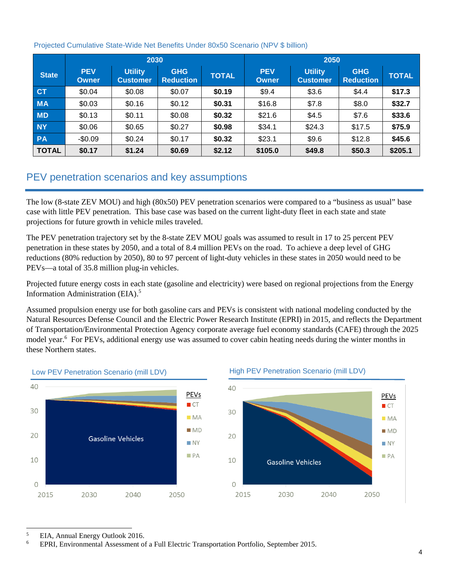|              | 2030                       |                                   |                                |              | 2050                |                                   |                                |              |
|--------------|----------------------------|-----------------------------------|--------------------------------|--------------|---------------------|-----------------------------------|--------------------------------|--------------|
| <b>State</b> | <b>PEV</b><br><b>Owner</b> | <b>Utility</b><br><b>Customer</b> | <b>GHG</b><br><b>Reduction</b> | <b>TOTAL</b> | <b>PEV</b><br>Owner | <b>Utility</b><br><b>Customer</b> | <b>GHG</b><br><b>Reduction</b> | <b>TOTAL</b> |
| <b>CT</b>    | \$0.04                     | \$0.08                            | \$0.07                         | \$0.19       | \$9.4               | \$3.6                             | \$4.4                          | \$17.3       |
| <b>MA</b>    | \$0.03                     | \$0.16                            | \$0.12                         | \$0.31       | \$16.8              | \$7.8                             | \$8.0                          | \$32.7       |
| <b>MD</b>    | \$0.13                     | \$0.11                            | \$0.08                         | \$0.32       | \$21.6              | \$4.5                             | \$7.6                          | \$33.6       |
| <b>NY</b>    | \$0.06                     | \$0.65                            | \$0.27                         | \$0.98       | \$34.1              | \$24.3                            | \$17.5                         | \$75.9       |
| <b>PA</b>    | $-$0.09$                   | \$0.24                            | \$0.17                         | \$0.32       | \$23.1              | \$9.6                             | \$12.8                         | \$45.6       |
| <b>TOTAL</b> | \$0.17                     | \$1.24                            | \$0.69                         | \$2.12       | \$105.0             | \$49.8                            | \$50.3                         | \$205.1      |

### Projected Cumulative State-Wide Net Benefits Under 80x50 Scenario (NPV \$ billion)

## PEV penetration scenarios and key assumptions

The low (8-state ZEV MOU) and high (80x50) PEV penetration scenarios were compared to a "business as usual" base case with little PEV penetration. This base case was based on the current light-duty fleet in each state and state projections for future growth in vehicle miles traveled.

The PEV penetration trajectory set by the 8-state ZEV MOU goals was assumed to result in 17 to 25 percent PEV penetration in these states by 2050, and a total of 8.4 million PEVs on the road. To achieve a deep level of GHG reductions (80% reduction by 2050), 80 to 97 percent of light-duty vehicles in these states in 2050 would need to be PEVs—a total of 35.8 million plug-in vehicles.

Projected future energy costs in each state (gasoline and electricity) were based on regional projections from the Energy Information Administration (EIA). 5

Assumed propulsion energy use for both gasoline cars and PEVs is consistent with national modeling conducted by the Natural Resources Defense Council and the Electric Power Research Institute (EPRI) in 2015, and reflects the Department of Transportation/Environmental Protection Agency corporate average fuel economy standards (CAFE) through the 2025 model year.<sup>6</sup> For PEVs, additional energy use was assumed to cover cabin heating needs during the winter months in these Northern states.

![](_page_3_Figure_7.jpeg)

### Low PEV Penetration Scenario (mill LDV)

 $\overline{a}$ 5 EIA, Annual Energy Outlook 2016.

6 EPRI, Environmental Assessment of a Full Electric Transportation Portfolio, September 2015.